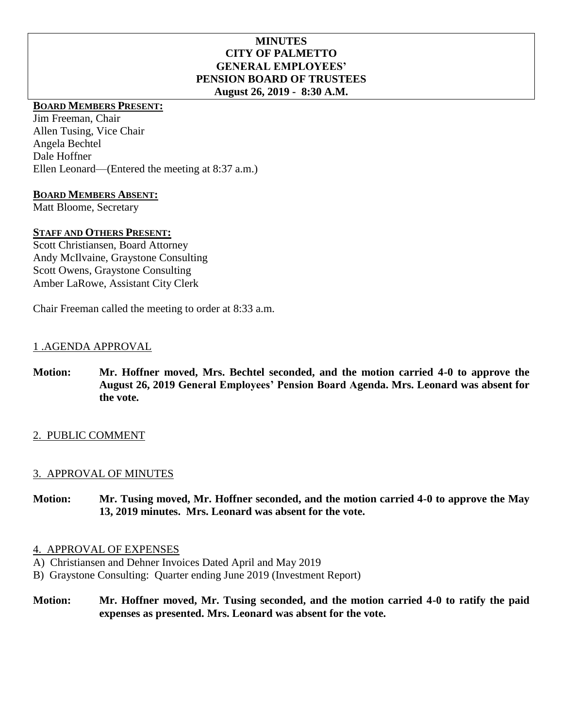## **MINUTES CITY OF PALMETTO GENERAL EMPLOYEES' PENSION BOARD OF TRUSTEES August 26, 2019 - 8:30 A.M.**

# **BOARD MEMBERS PRESENT:**

Jim Freeman, Chair Allen Tusing, Vice Chair Angela Bechtel Dale Hoffner Ellen Leonard—(Entered the meeting at 8:37 a.m.)

## **BOARD MEMBERS ABSENT:**

Matt Bloome, Secretary

## **STAFF AND OTHERS PRESENT:**

Scott Christiansen, Board Attorney Andy McIlvaine, Graystone Consulting Scott Owens, Graystone Consulting Amber LaRowe, Assistant City Clerk

Chair Freeman called the meeting to order at 8:33 a.m.

## 1 .AGENDA APPROVAL

**Motion: Mr. Hoffner moved, Mrs. Bechtel seconded, and the motion carried 4-0 to approve the August 26, 2019 General Employees' Pension Board Agenda. Mrs. Leonard was absent for the vote.**

## 2. PUBLIC COMMENT

## 3. APPROVAL OF MINUTES

**Motion: Mr. Tusing moved, Mr. Hoffner seconded, and the motion carried 4-0 to approve the May 13, 2019 minutes. Mrs. Leonard was absent for the vote.**

## 4. APPROVAL OF EXPENSES

- A) Christiansen and Dehner Invoices Dated April and May 2019
- B) Graystone Consulting: Quarter ending June 2019 (Investment Report)

**Motion: Mr. Hoffner moved, Mr. Tusing seconded, and the motion carried 4-0 to ratify the paid expenses as presented. Mrs. Leonard was absent for the vote.**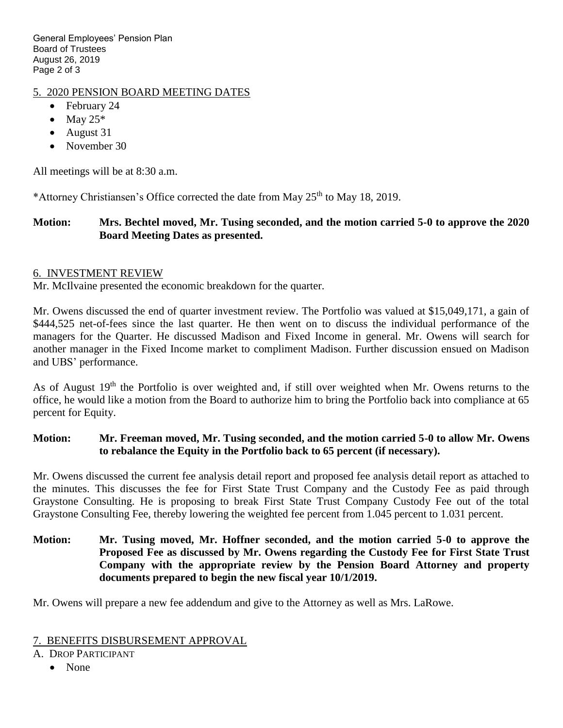General Employees' Pension Plan Board of Trustees August 26, 2019 Page 2 of 3

# 5. 2020 PENSION BOARD MEETING DATES

- February 24
- $\bullet$  May 25\*
- August 31
- November 30

All meetings will be at 8:30 a.m.

\*Attorney Christiansen's Office corrected the date from May  $25<sup>th</sup>$  to May 18, 2019.

# **Motion: Mrs. Bechtel moved, Mr. Tusing seconded, and the motion carried 5-0 to approve the 2020 Board Meeting Dates as presented.**

## 6. INVESTMENT REVIEW

Mr. McIlvaine presented the economic breakdown for the quarter.

Mr. Owens discussed the end of quarter investment review. The Portfolio was valued at \$15,049,171, a gain of \$444,525 net-of-fees since the last quarter. He then went on to discuss the individual performance of the managers for the Quarter. He discussed Madison and Fixed Income in general. Mr. Owens will search for another manager in the Fixed Income market to compliment Madison. Further discussion ensued on Madison and UBS' performance.

As of August 19<sup>th</sup> the Portfolio is over weighted and, if still over weighted when Mr. Owens returns to the office, he would like a motion from the Board to authorize him to bring the Portfolio back into compliance at 65 percent for Equity.

## **Motion: Mr. Freeman moved, Mr. Tusing seconded, and the motion carried 5-0 to allow Mr. Owens to rebalance the Equity in the Portfolio back to 65 percent (if necessary).**

Mr. Owens discussed the current fee analysis detail report and proposed fee analysis detail report as attached to the minutes. This discusses the fee for First State Trust Company and the Custody Fee as paid through Graystone Consulting. He is proposing to break First State Trust Company Custody Fee out of the total Graystone Consulting Fee, thereby lowering the weighted fee percent from 1.045 percent to 1.031 percent.

**Motion: Mr. Tusing moved, Mr. Hoffner seconded, and the motion carried 5-0 to approve the Proposed Fee as discussed by Mr. Owens regarding the Custody Fee for First State Trust Company with the appropriate review by the Pension Board Attorney and property documents prepared to begin the new fiscal year 10/1/2019.**

Mr. Owens will prepare a new fee addendum and give to the Attorney as well as Mrs. LaRowe.

## 7. BENEFITS DISBURSEMENT APPROVAL

- A. DROP PARTICIPANT
	- None